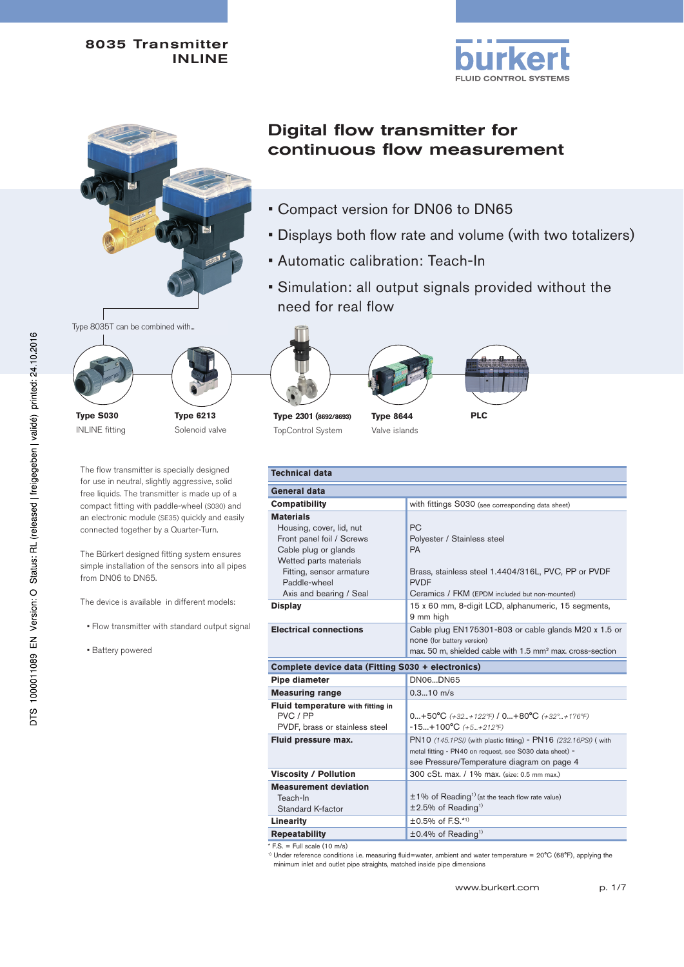



# Type 8035T can be combined with...



INLINE fitting

**Type 6213** Solenoid valve

The flow transmitter is specially designed for use in neutral, slightly aggressive, solid free liquids. The transmitter is made up of a compact fitting with paddle-wheel (S030) and an electronic module (SE35) quickly and easily connected together by a Quarter-Turn.

The Bürkert designed fitting system ensures simple installation of the sensors into all pipes from DN06 to DN65.

The device is available in different models:

- Flow transmitter with standard output signal
- Battery powered

# Digital flow transmitter for continuous flow measurement

- Compact version for DN06 to DN65
- Displays both flow rate and volume (with two totalizers)
- Automatic calibration: Teach-In
- Simulation: all output signals provided without the need for real flow



**Type 2301 (8692/8693)** TopControl System

**Type 8644** Valve islands



| <b>Technical data</b>                                                                                                                                                                                                |                                                                                                                                                                                                                                            |  |  |  |
|----------------------------------------------------------------------------------------------------------------------------------------------------------------------------------------------------------------------|--------------------------------------------------------------------------------------------------------------------------------------------------------------------------------------------------------------------------------------------|--|--|--|
| General data                                                                                                                                                                                                         |                                                                                                                                                                                                                                            |  |  |  |
| Compatibility                                                                                                                                                                                                        | with fittings S030 (see corresponding data sheet)                                                                                                                                                                                          |  |  |  |
| <b>Materials</b><br>Housing, cover, lid, nut<br>Front panel foil / Screws<br>Cable plug or glands<br>Wetted parts materials<br>Fitting, sensor armature<br>Paddle-wheel<br>Axis and bearing / Seal<br><b>Display</b> | <b>PC</b><br>Polyester / Stainless steel<br>PA<br>Brass, stainless steel 1.4404/316L, PVC, PP or PVDF<br><b>PVDF</b><br>Ceramics / FKM (EPDM included but non-mounted)<br>15 x 60 mm, 8-digit LCD, alphanumeric, 15 segments,<br>9 mm high |  |  |  |
| <b>Electrical connections</b>                                                                                                                                                                                        | Cable plug EN175301-803 or cable glands M20 x 1.5 or<br>none (for battery version)<br>max. 50 m, shielded cable with 1.5 mm <sup>2</sup> max. cross-section                                                                                |  |  |  |
| Complete device data (Fitting S030 + electronics)                                                                                                                                                                    |                                                                                                                                                                                                                                            |  |  |  |
| Pipe diameter                                                                                                                                                                                                        | DN06DN65                                                                                                                                                                                                                                   |  |  |  |
| <b>Measuring range</b>                                                                                                                                                                                               | $0.310$ m/s                                                                                                                                                                                                                                |  |  |  |
| Fluid temperature with fitting in<br>PVC / PP<br>PVDF, brass or stainless steel                                                                                                                                      | $0+50^{\circ}C$ (+32+122°F) / $0+80^{\circ}C$ (+32°+176°F)<br>$-15+100^{\circ}C (+5+212^{\circ}F)$                                                                                                                                         |  |  |  |
| Fluid pressure max.                                                                                                                                                                                                  | PN10 (145.1PSI) (with plastic fitting) - PN16 (232.16PSI) (with<br>metal fitting - PN40 on request, see S030 data sheet) -<br>see Pressure/Temperature diagram on page 4                                                                   |  |  |  |
| <b>Viscosity / Pollution</b>                                                                                                                                                                                         | 300 cSt. max. / 1% max. (size: 0.5 mm max.)                                                                                                                                                                                                |  |  |  |
| <b>Measurement deviation</b><br>Teach-In<br><b>Standard K-factor</b>                                                                                                                                                 | ±1% of Reading <sup>1)</sup> (at the teach flow rate value)<br>$±2.5\%$ of Reading <sup>1)</sup>                                                                                                                                           |  |  |  |
| Linearity                                                                                                                                                                                                            | $±0.5\%$ of F.S.*1)                                                                                                                                                                                                                        |  |  |  |
| <b>Repeatability</b>                                                                                                                                                                                                 | $\pm$ 0.4% of Reading <sup>1)</sup>                                                                                                                                                                                                        |  |  |  |

 $*$  F.S. = Full scale (10 m/s)

1) Under reference conditions i.e. measuring fluid=water, ambient and water temperature = 20°C (68°F), applying the minimum inlet and outlet pipe straights, matched inside pipe dimensions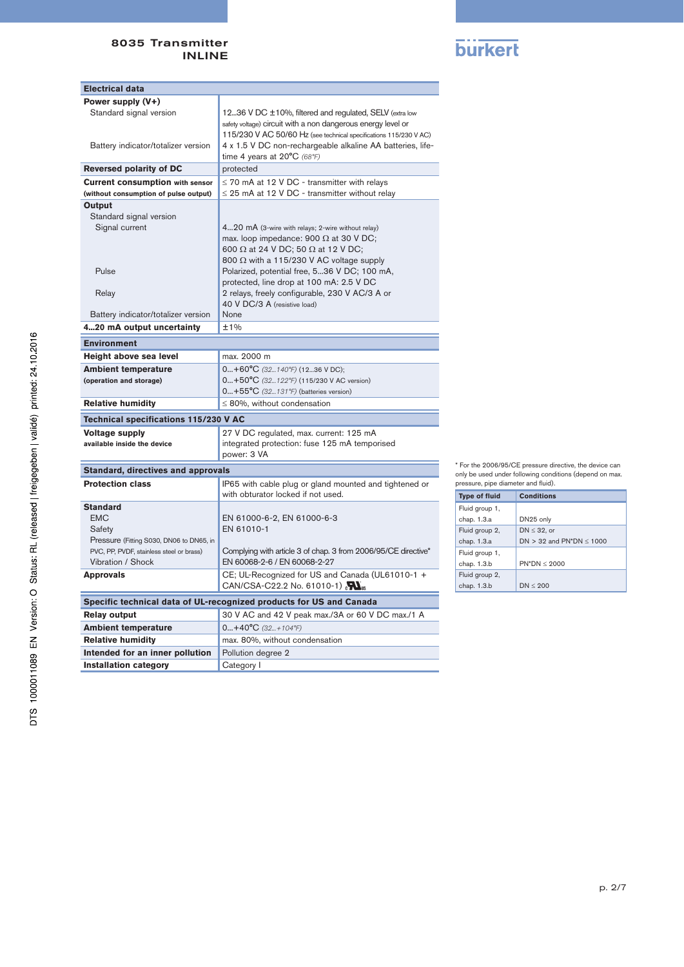

| <b>Electrical data</b>                                                               |                                                                                                                                                                                              |  |  |
|--------------------------------------------------------------------------------------|----------------------------------------------------------------------------------------------------------------------------------------------------------------------------------------------|--|--|
| Power supply (V+)                                                                    |                                                                                                                                                                                              |  |  |
| Standard signal version                                                              | 1236 V DC ±10%, filtered and regulated, SELV (extra low<br>safety voltage) circuit with a non dangerous energy level or<br>115/230 V AC 50/60 Hz (see technical specifications 115/230 V AC) |  |  |
| Battery indicator/totalizer version                                                  | 4 x 1.5 V DC non-rechargeable alkaline AA batteries, life-<br>time 4 years at $20^{\circ}$ C (68°F)                                                                                          |  |  |
| <b>Reversed polarity of DC</b>                                                       | protected                                                                                                                                                                                    |  |  |
| <b>Current consumption with sensor</b>                                               | $\leq$ 70 mA at 12 V DC - transmitter with relays                                                                                                                                            |  |  |
| (without consumption of pulse output)                                                | $\leq$ 25 mA at 12 V DC - transmitter without relay                                                                                                                                          |  |  |
| Output                                                                               |                                                                                                                                                                                              |  |  |
| Standard signal version<br>Signal current                                            | 420 mA (3-wire with relays; 2-wire without relay)                                                                                                                                            |  |  |
|                                                                                      | max. loop impedance: 900 $\Omega$ at 30 V DC;                                                                                                                                                |  |  |
|                                                                                      | 600 $\Omega$ at 24 V DC; 50 $\Omega$ at 12 V DC;                                                                                                                                             |  |  |
|                                                                                      | 800 $\Omega$ with a 115/230 V AC voltage supply                                                                                                                                              |  |  |
| Pulse                                                                                | Polarized, potential free, 536 V DC; 100 mA,                                                                                                                                                 |  |  |
|                                                                                      | protected, line drop at 100 mA: 2.5 V DC                                                                                                                                                     |  |  |
| Relay                                                                                | 2 relays, freely configurable, 230 V AC/3 A or<br>40 V DC/3 A (resistive load)                                                                                                               |  |  |
| Battery indicator/totalizer version                                                  | None                                                                                                                                                                                         |  |  |
| 420 mA output uncertainty                                                            | ±1%                                                                                                                                                                                          |  |  |
| <b>Environment</b>                                                                   |                                                                                                                                                                                              |  |  |
| Height above sea level                                                               | max. 2000 m                                                                                                                                                                                  |  |  |
| <b>Ambient temperature</b>                                                           | $0+60^{\circ}C$ (32140°F) (1236 V DC);                                                                                                                                                       |  |  |
| (operation and storage)                                                              | 0+50°C (32122°F) (115/230 V AC version)                                                                                                                                                      |  |  |
|                                                                                      | $0+55^{\circ}C$ (32131°F) (batteries version)                                                                                                                                                |  |  |
| <b>Relative humidity</b>                                                             | $\leq$ 80%, without condensation                                                                                                                                                             |  |  |
| Technical specifications 115/230 V AC                                                |                                                                                                                                                                                              |  |  |
| <b>Voltage supply</b>                                                                | 27 V DC regulated, max. current: 125 mA                                                                                                                                                      |  |  |
| available inside the device                                                          | integrated protection: fuse 125 mA temporised<br>power: 3 VA                                                                                                                                 |  |  |
|                                                                                      |                                                                                                                                                                                              |  |  |
| <b>Standard, directives and approvals</b><br><b>Protection class</b>                 |                                                                                                                                                                                              |  |  |
|                                                                                      | IP65 with cable plug or gland mounted and tightened or<br>with obturator locked if not used.                                                                                                 |  |  |
| <b>Standard</b>                                                                      |                                                                                                                                                                                              |  |  |
| <b>EMC</b>                                                                           | EN 61000-6-2, EN 61000-6-3                                                                                                                                                                   |  |  |
| Safety                                                                               | EN 61010-1                                                                                                                                                                                   |  |  |
| Pressure (Fitting S030, DN06 to DN65, in<br>PVC, PP, PVDF, stainless steel or brass) | Complying with article 3 of chap. 3 from 2006/95/CE directive*                                                                                                                               |  |  |
| Vibration / Shock                                                                    | EN 60068-2-6 / EN 60068-2-27                                                                                                                                                                 |  |  |
| <b>Approvals</b>                                                                     | CE; UL-Recognized for US and Canada (UL61010-1 +                                                                                                                                             |  |  |
|                                                                                      | CAN/CSA-C22.2 No. 61010-1) $\sum_{\text{us}}$                                                                                                                                                |  |  |
|                                                                                      | Specific technical data of UL-recognized products for US and Canada                                                                                                                          |  |  |
| <b>Relay output</b>                                                                  | 30 V AC and 42 V peak max./3A or 60 V DC max./1 A                                                                                                                                            |  |  |
| <b>Ambient temperature</b>                                                           | $0+40^{\circ}C(32+104^{\circ}F)$                                                                                                                                                             |  |  |
| <b>Relative humidity</b>                                                             | max. 80%, without condensation                                                                                                                                                               |  |  |
| Intended for an inner pollution                                                      | Pollution degree 2                                                                                                                                                                           |  |  |
| <b>Installation category</b>                                                         | Category I                                                                                                                                                                                   |  |  |

\* For the 2006/95/CE pressure directive, the device can only be used under following conditions (depend on max. pressure, pipe diameter and fluid).

| <b>Type of fluid</b> | <b>Conditions</b>             |
|----------------------|-------------------------------|
| Fluid group 1,       |                               |
| chap. 1.3.a          | DN25 only                     |
| Fluid group 2,       | DN $\leq$ 32, or              |
| chap. 1.3.a          | DN > 32 and PN*DN $\leq$ 1000 |
| Fluid group 1,       |                               |
| chap. 1.3.b          | $PN^*DN < 2000$               |
| Fluid group 2,       |                               |
| chap. 1.3.b          | $DN \leq 200$                 |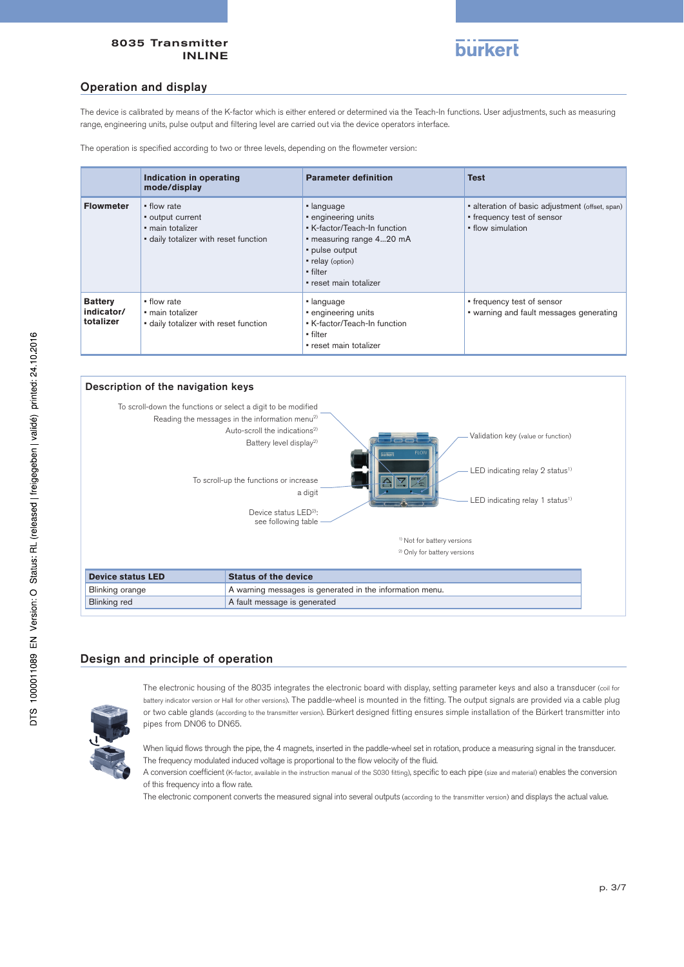

# Operation and display

The device is calibrated by means of the K-factor which is either entered or determined via the Teach-In functions. User adjustments, such as measuring range, engineering units, pulse output and filtering level are carried out via the device operators interface.

The operation is specified according to two or three levels, depending on the flowmeter version:

|                                           | Indication in operating<br>mode/display                                                      | <b>Parameter definition</b>                                                                                                                                               | <b>Test</b>                                                                                        |  |  |
|-------------------------------------------|----------------------------------------------------------------------------------------------|---------------------------------------------------------------------------------------------------------------------------------------------------------------------------|----------------------------------------------------------------------------------------------------|--|--|
| <b>Flowmeter</b>                          | • flow rate<br>• output current<br>· main totalizer<br>· daily totalizer with reset function | • language<br>• engineering units<br>• K-factor/Teach-In function<br>• measuring range 420 mA<br>• pulse output<br>• relay (option)<br>• filter<br>• reset main totalizer | • alteration of basic adjustment (offset, span)<br>• frequency test of sensor<br>• flow simulation |  |  |
| <b>Battery</b><br>indicator/<br>totalizer | • flow rate<br>· main totalizer<br>· daily totalizer with reset function                     | • language<br>• engineering units<br>• K-factor/Teach-In function<br>• filter<br>• reset main totalizer                                                                   | • frequency test of sensor<br>• warning and fault messages generating                              |  |  |



# Design and principle of operation



The electronic housing of the 8035 integrates the electronic board with display, setting parameter keys and also a transducer (coil for battery indicator version or Hall for other versions). The paddle-wheel is mounted in the fitting. The output signals are provided via a cable plug or two cable glands (according to the transmitter version). Bürkert designed fitting ensures simple installation of the Bürkert transmitter into pipes from DN06 to DN65.

When liquid flows through the pipe, the 4 magnets, inserted in the paddle-wheel set in rotation, produce a measuring signal in the transducer. The frequency modulated induced voltage is proportional to the flow velocity of the fluid.

A conversion coefficient (K-factor, available in the instruction manual of the S030 fitting), specific to each pipe (size and material) enables the conversion of this frequency into a flow rate.

The electronic component converts the measured signal into several outputs (according to the transmitter version) and displays the actual value.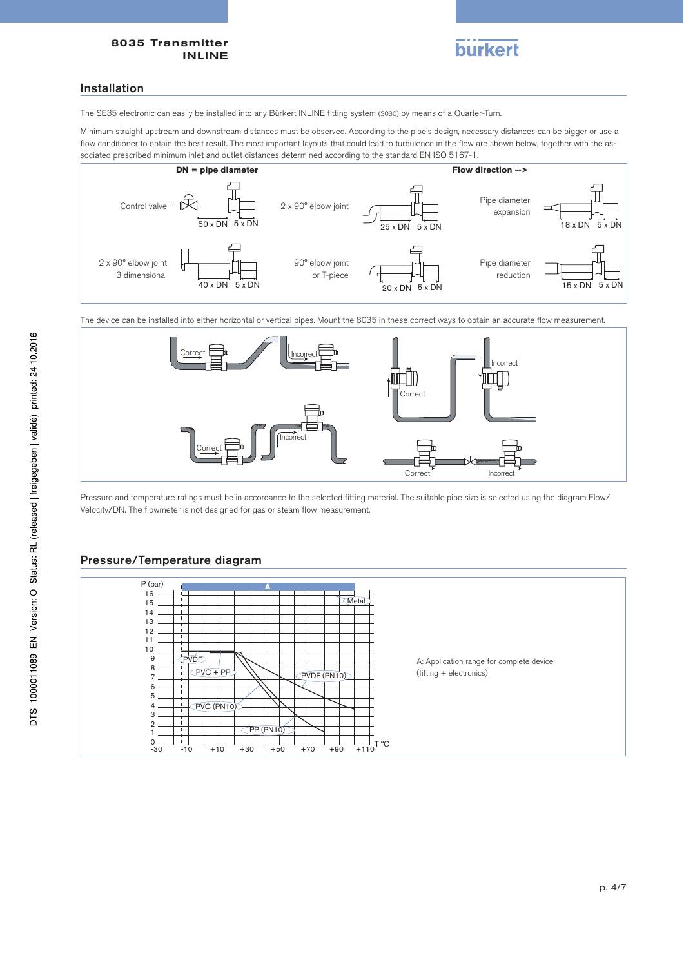

## Installation

The SE35 electronic can easily be installed into any Bürkert INLINE fitting system (S030) by means of a Quarter-Turn.

Minimum straight upstream and downstream distances must be observed. According to the pipe's design, necessary distances can be bigger or use a flow conditioner to obtain the best result. The most important layouts that could lead to turbulence in the flow are shown below, together with the associated prescribed minimum inlet and outlet distances determined according to the standard EN ISO 5167-1.



The device can be installed into either horizontal or vertical pipes. Mount the 8035 in these correct ways to obtain an accurate flow measurement.



Pressure and temperature ratings must be in accordance to the selected fitting material. The suitable pipe size is selected using the diagram Flow/ Velocity/DN. The flowmeter is not designed for gas or steam flow measurement.

# Pressure/Temperature diagram

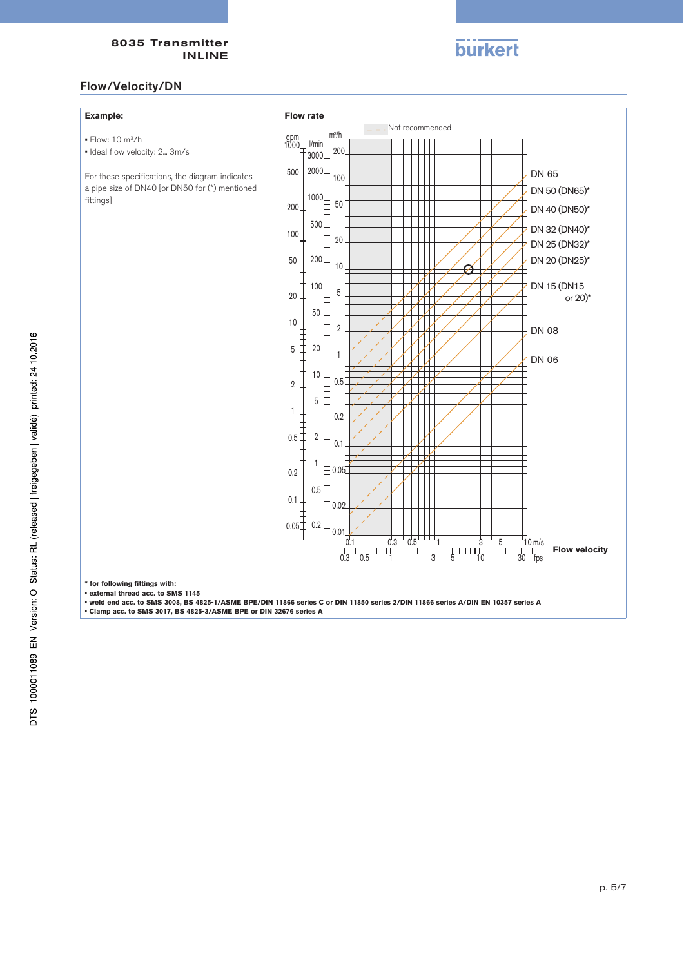

# Flow/Velocity/DN

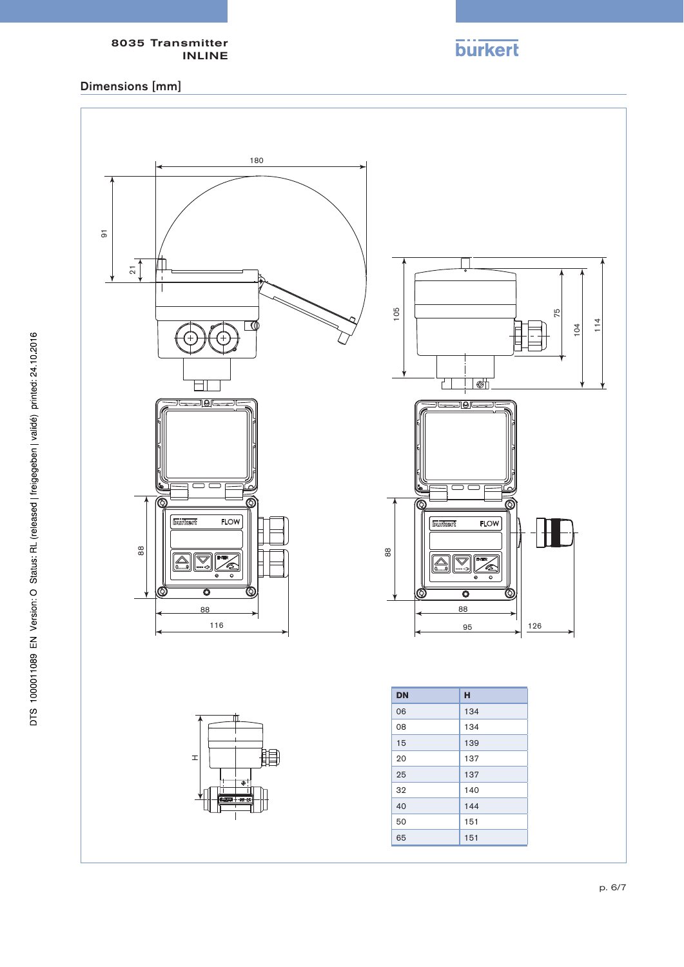# Dimensions [mm]



**burkert**